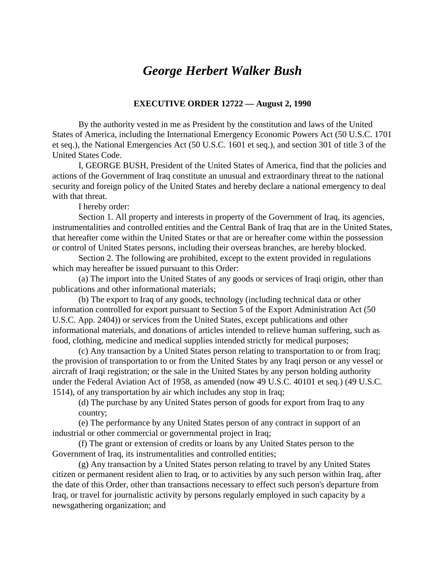## *George Herbert Walker Bush*

## **EXECUTIVE ORDER 12722 — August 2, 1990**

By the authority vested in me as President by the constitution and laws of the United States of America, including the International Emergency Economic Powers Act (50 U.S.C. 1701 et seq.), the National Emergencies Act (50 U.S.C. 1601 et seq.), and section 301 of title 3 of the United States Code.

I, GEORGE BUSH, President of the United States of America, find that the policies and actions of the Government of Iraq constitute an unusual and extraordinary threat to the national security and foreign policy of the United States and hereby declare a national emergency to deal with that threat.

I hereby order:

Section 1. All property and interests in property of the Government of Iraq, its agencies, instrumentalities and controlled entities and the Central Bank of Iraq that are in the United States, that hereafter come within the United States or that are or hereafter come within the possession or control of United States persons, including their overseas branches, are hereby blocked.

Section 2. The following are prohibited, except to the extent provided in regulations which may hereafter be issued pursuant to this Order:

(a) The import into the United States of any goods or services of Iraqi origin, other than publications and other informational materials;

(b) The export to Iraq of any goods, technology (including technical data or other information controlled for export pursuant to Section 5 of the Export Administration Act (50 U.S.C. App. 2404)) or services from the United States, except publications and other informational materials, and donations of articles intended to relieve human suffering, such as food, clothing, medicine and medical supplies intended strictly for medical purposes;

(c) Any transaction by a United States person relating to transportation to or from Iraq; the provision of transportation to or from the United States by any Iraqi person or any vessel or aircraft of Iraqi registration; or the sale in the United States by any person holding authority under the Federal Aviation Act of 1958, as amended (now 49 U.S.C. 40101 et seq.) (49 U.S.C. 1514), of any transportation by air which includes any stop in Iraq;

(d) The purchase by any United States person of goods for export from Iraq to any country;

(e) The performance by any United States person of any contract in support of an industrial or other commercial or governmental project in Iraq;

(f) The grant or extension of credits or loans by any United States person to the Government of Iraq, its instrumentalities and controlled entities;

(g) Any transaction by a United States person relating to travel by any United States citizen or permanent resident alien to Iraq, or to activities by any such person within Iraq, after the date of this Order, other than transactions necessary to effect such person's departure from Iraq, or travel for journalistic activity by persons regularly employed in such capacity by a newsgathering organization; and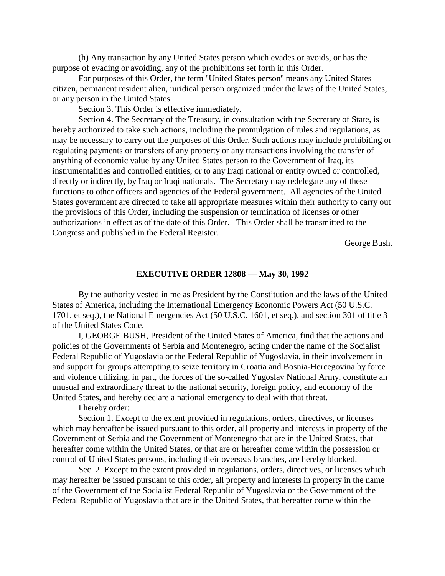(h) Any transaction by any United States person which evades or avoids, or has the purpose of evading or avoiding, any of the prohibitions set forth in this Order.

For purposes of this Order, the term ''United States person'' means any United States citizen, permanent resident alien, juridical person organized under the laws of the United States, or any person in the United States.

Section 3. This Order is effective immediately.

Section 4. The Secretary of the Treasury, in consultation with the Secretary of State, is hereby authorized to take such actions, including the promulgation of rules and regulations, as may be necessary to carry out the purposes of this Order. Such actions may include prohibiting or regulating payments or transfers of any property or any transactions involving the transfer of anything of economic value by any United States person to the Government of Iraq, its instrumentalities and controlled entities, or to any Iraqi national or entity owned or controlled, directly or indirectly, by Iraq or Iraqi nationals. The Secretary may redelegate any of these functions to other officers and agencies of the Federal government. All agencies of the United States government are directed to take all appropriate measures within their authority to carry out the provisions of this Order, including the suspension or termination of licenses or other authorizations in effect as of the date of this Order. This Order shall be transmitted to the Congress and published in the Federal Register.

George Bush.

## **EXECUTIVE ORDER 12808 — May 30, 1992**

By the authority vested in me as President by the Constitution and the laws of the United States of America, including the International Emergency Economic Powers Act (50 U.S.C. 1701, et seq.), the National Emergencies Act (50 U.S.C. 1601, et seq.), and section 301 of title 3 of the United States Code,

I, GEORGE BUSH, President of the United States of America, find that the actions and policies of the Governments of Serbia and Montenegro, acting under the name of the Socialist Federal Republic of Yugoslavia or the Federal Republic of Yugoslavia, in their involvement in and support for groups attempting to seize territory in Croatia and Bosnia-Hercegovina by force and violence utilizing, in part, the forces of the so-called Yugoslav National Army, constitute an unusual and extraordinary threat to the national security, foreign policy, and economy of the United States, and hereby declare a national emergency to deal with that threat.

I hereby order:

Section 1. Except to the extent provided in regulations, orders, directives, or licenses which may hereafter be issued pursuant to this order, all property and interests in property of the Government of Serbia and the Government of Montenegro that are in the United States, that hereafter come within the United States, or that are or hereafter come within the possession or control of United States persons, including their overseas branches, are hereby blocked.

Sec. 2. Except to the extent provided in regulations, orders, directives, or licenses which may hereafter be issued pursuant to this order, all property and interests in property in the name of the Government of the Socialist Federal Republic of Yugoslavia or the Government of the Federal Republic of Yugoslavia that are in the United States, that hereafter come within the